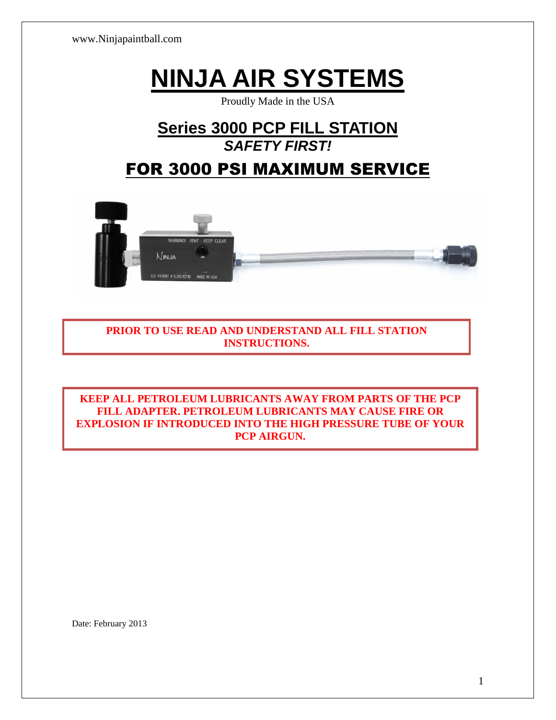www.Ninjapaintball.com

# **NINJA AIR SYSTEMS**

Proudly Made in the USA

## **Series 3000 PCP FILL STATION** *SAFETY FIRST!*

## FOR 3000 PSI MAXIMUM SERVICE



**PRIOR TO USE READ AND UNDERSTAND ALL FILL STATION INSTRUCTIONS.**

**KEEP ALL PETROLEUM LUBRICANTS AWAY FROM PARTS OF THE PCP FILL ADAPTER. PETROLEUM LUBRICANTS MAY CAUSE FIRE OR EXPLOSION IF INTRODUCED INTO THE HIGH PRESSURE TUBE OF YOUR PCP AIRGUN.**

Date: February 2013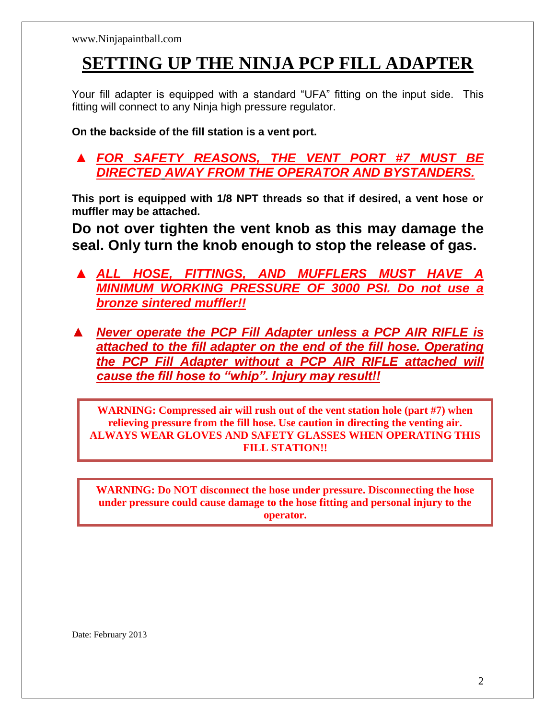# **SETTING UP THE NINJA PCP FILL ADAPTER**

Your fill adapter is equipped with a standard "UFA" fitting on the input side. This fitting will connect to any Ninja high pressure regulator.

**On the backside of the fill station is a vent port.** 

*▲ FOR SAFETY REASONS, THE VENT PORT #7 MUST BE DIRECTED AWAY FROM THE OPERATOR AND BYSTANDERS.* 

**This port is equipped with 1/8 NPT threads so that if desired, a vent hose or muffler may be attached.** 

**Do not over tighten the vent knob as this may damage the seal. Only turn the knob enough to stop the release of gas.** 

- *▲ ALL HOSE, FITTINGS, AND MUFFLERS MUST HAVE A MINIMUM WORKING PRESSURE OF 3000 PSI. Do not use a bronze sintered muffler!!*
- *▲ Never operate the PCP Fill Adapter unless a PCP AIR RIFLE is attached to the fill adapter on the end of the fill hose. Operating the PCP Fill Adapter without a PCP AIR RIFLE attached will cause the fill hose to "whip". Injury may result!!*

**WARNING: Compressed air will rush out of the vent station hole (part #7) when relieving pressure from the fill hose. Use caution in directing the venting air. ALWAYS WEAR GLOVES AND SAFETY GLASSES WHEN OPERATING THIS FILL STATION!!**

**WARNING: Do NOT disconnect the hose under pressure. Disconnecting the hose under pressure could cause damage to the hose fitting and personal injury to the operator.**

Date: February 2013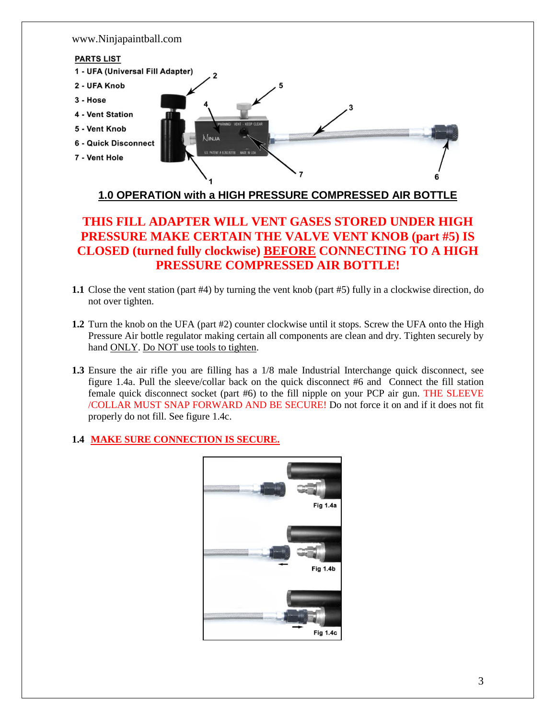

#### **1.0 OPERATION with a HIGH PRESSURE COMPRESSED AIR BOTTLE**

### **THIS FILL ADAPTER WILL VENT GASES STORED UNDER HIGH PRESSURE MAKE CERTAIN THE VALVE VENT KNOB (part #5) IS CLOSED (turned fully clockwise) BEFORE CONNECTING TO A HIGH PRESSURE COMPRESSED AIR BOTTLE!**

- **1.1** Close the vent station (part #4) by turning the vent knob (part #5) fully in a clockwise direction, do not over tighten.
- **1.2** Turn the knob on the UFA (part #2) counter clockwise until it stops. Screw the UFA onto the High Pressure Air bottle regulator making certain all components are clean and dry. Tighten securely by hand ONLY. Do NOT use tools to tighten.
- **1.3** Ensure the air rifle you are filling has a 1/8 male Industrial Interchange quick disconnect, see figure 1.4a. Pull the sleeve/collar back on the quick disconnect #6 and Connect the fill station female quick disconnect socket (part #6) to the fill nipple on your PCP air gun. THE SLEEVE /COLLAR MUST SNAP FORWARD AND BE SECURE! Do not force it on and if it does not fit properly do not fill. See figure 1.4c.

#### **1.4 MAKE SURE CONNECTION IS SECURE.**